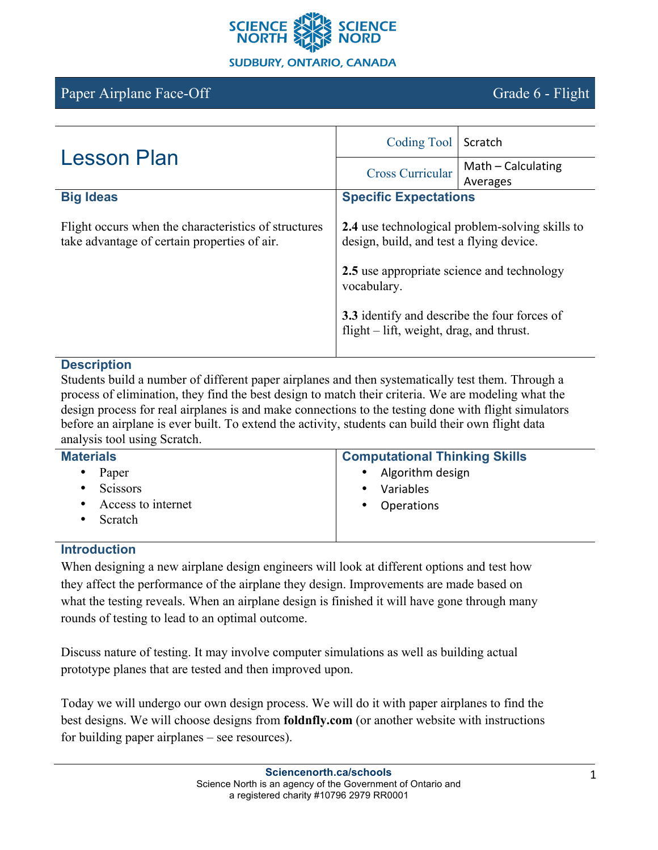

# Paper Airplane Face-Off Grade 6 - Flight

| <b>Lesson Plan</b>                                                                                   | <b>Coding Tool</b>                                                                                                                                                                                                                                          | Scratch            |
|------------------------------------------------------------------------------------------------------|-------------------------------------------------------------------------------------------------------------------------------------------------------------------------------------------------------------------------------------------------------------|--------------------|
|                                                                                                      | <b>Cross Curricular</b>                                                                                                                                                                                                                                     | Math - Calculating |
|                                                                                                      |                                                                                                                                                                                                                                                             | Averages           |
| <b>Big Ideas</b>                                                                                     | <b>Specific Expectations</b>                                                                                                                                                                                                                                |                    |
| Flight occurs when the characteristics of structures<br>take advantage of certain properties of air. | <b>2.4</b> use technological problem-solving skills to<br>design, build, and test a flying device.<br>2.5 use appropriate science and technology<br>vocabulary.<br>3.3 identify and describe the four forces of<br>flight – lift, weight, drag, and thrust. |                    |

#### **Description**

Students build a number of different paper airplanes and then systematically test them. Through a process of elimination, they find the best design to match their criteria. We are modeling what the design process for real airplanes is and make connections to the testing done with flight simulators before an airplane is ever built. To extend the activity, students can build their own flight data analysis tool using Scratch.

| <b>Materials</b>   | <b>Computational Thinking Skills</b> |
|--------------------|--------------------------------------|
| Paper              | Algorithm design                     |
| ٠                  | $\bullet$                            |
| <b>Scissors</b>    | Variables                            |
| $\bullet$          | $\bullet$                            |
| Access to internet | <b>Operations</b>                    |
| $\bullet$          | $\bullet$                            |
| Scratch            |                                      |
|                    |                                      |

# **Introduction**

When designing a new airplane design engineers will look at different options and test how they affect the performance of the airplane they design. Improvements are made based on what the testing reveals. When an airplane design is finished it will have gone through many rounds of testing to lead to an optimal outcome.

Discuss nature of testing. It may involve computer simulations as well as building actual prototype planes that are tested and then improved upon.

Today we will undergo our own design process. We will do it with paper airplanes to find the best designs. We will choose designs from **foldnfly.com** (or another website with instructions for building paper airplanes – see resources).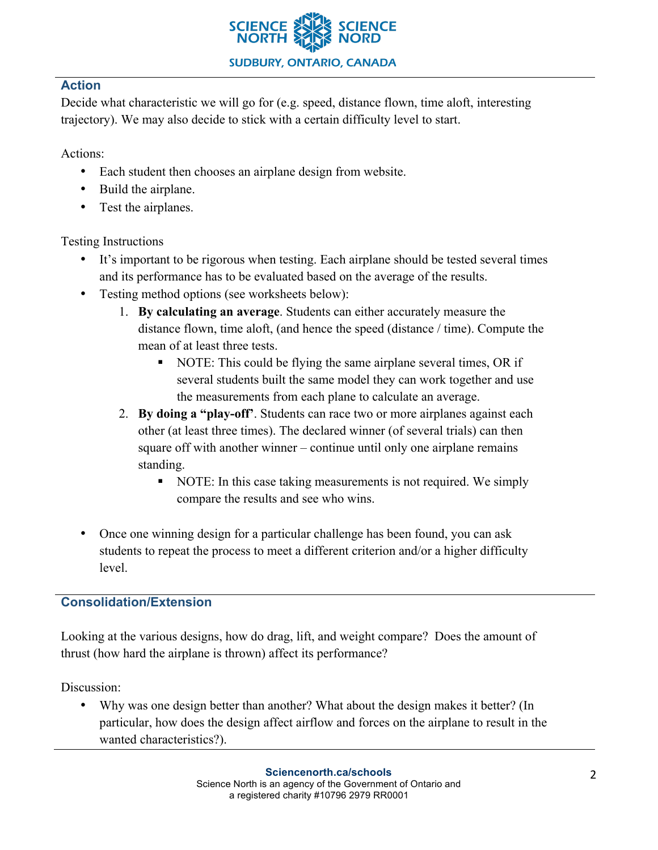

### **Action**

Decide what characteristic we will go for (e.g. speed, distance flown, time aloft, interesting trajectory). We may also decide to stick with a certain difficulty level to start.

Actions:

- Each student then chooses an airplane design from website.
- Build the airplane.
- Test the airplanes.

# Testing Instructions

- It's important to be rigorous when testing. Each airplane should be tested several times and its performance has to be evaluated based on the average of the results.
- Testing method options (see worksheets below):
	- 1. **By calculating an average**. Students can either accurately measure the distance flown, time aloft, (and hence the speed (distance / time). Compute the mean of at least three tests.
		- § NOTE: This could be flying the same airplane several times, OR if several students built the same model they can work together and use the measurements from each plane to calculate an average.
	- 2. **By doing a "play-off'**. Students can race two or more airplanes against each other (at least three times). The declared winner (of several trials) can then square off with another winner – continue until only one airplane remains standing.
		- § NOTE: In this case taking measurements is not required. We simply compare the results and see who wins.
- Once one winning design for a particular challenge has been found, you can ask students to repeat the process to meet a different criterion and/or a higher difficulty level.

# **Consolidation/Extension**

Looking at the various designs, how do drag, lift, and weight compare? Does the amount of thrust (how hard the airplane is thrown) affect its performance?

Discussion:

• Why was one design better than another? What about the design makes it better? (In particular, how does the design affect airflow and forces on the airplane to result in the wanted characteristics?).